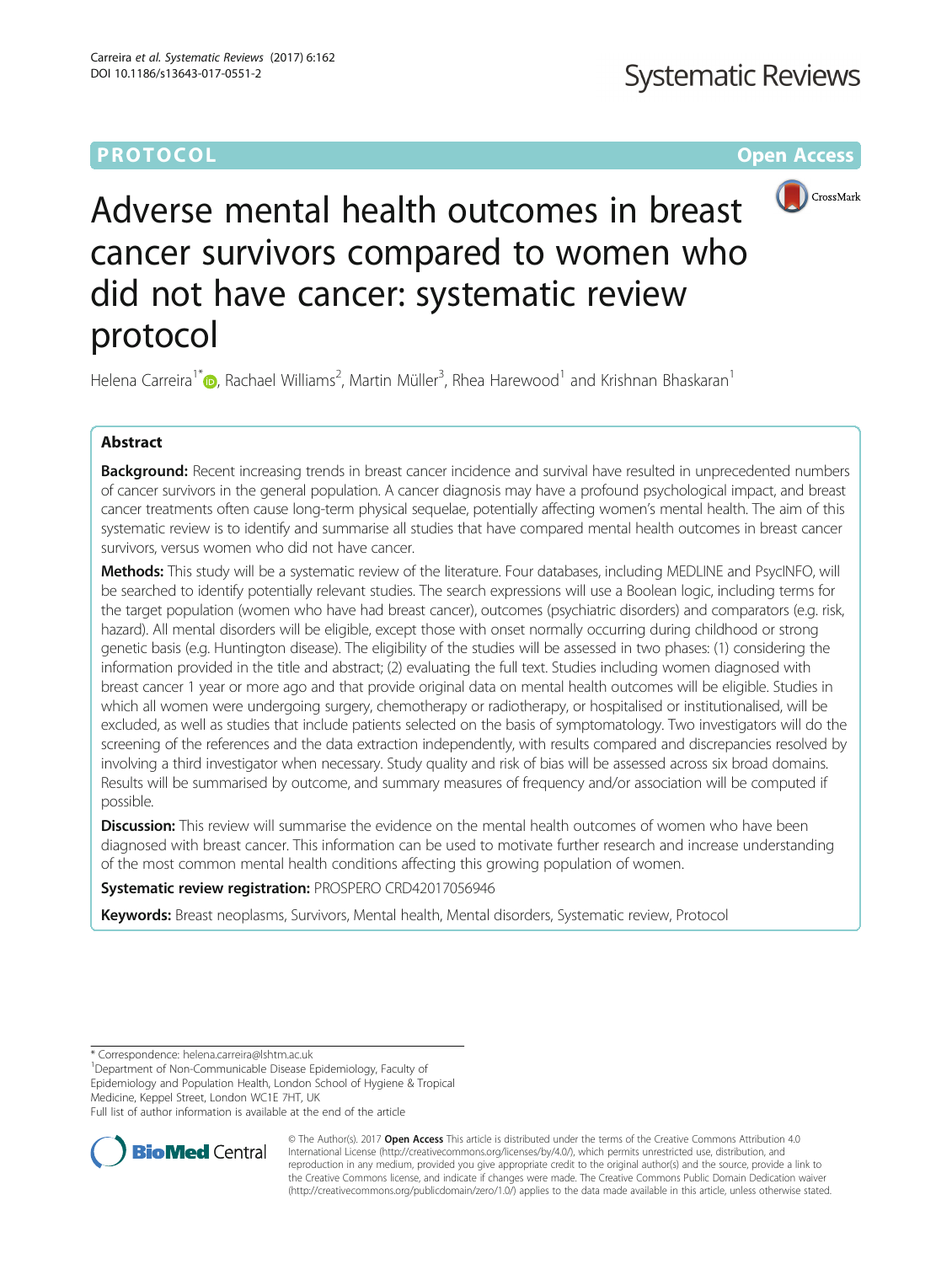# **PROTOCOL CONSUMING THE CONSUMING TEACHER CONSUMING THE CONSUMING TEACHER CONSUMING THE CONSUMING TEACHER CONSUMING**



Adverse mental health outcomes in breast cancer survivors compared to women who did not have cancer: systematic review protocol

Helena Carreira<sup>1[\\*](http://orcid.org/0000-0003-1538-2526)</sup> $\bullet$ , Rachael Williams<sup>2</sup>, Martin Müller<sup>3</sup>, Rhea Harewood<sup>1</sup> and Krishnan Bhaskaran<sup>1</sup>

## Abstract

Background: Recent increasing trends in breast cancer incidence and survival have resulted in unprecedented numbers of cancer survivors in the general population. A cancer diagnosis may have a profound psychological impact, and breast cancer treatments often cause long-term physical sequelae, potentially affecting women's mental health. The aim of this systematic review is to identify and summarise all studies that have compared mental health outcomes in breast cancer survivors, versus women who did not have cancer.

Methods: This study will be a systematic review of the literature. Four databases, including MEDLINE and PsycINFO, will be searched to identify potentially relevant studies. The search expressions will use a Boolean logic, including terms for the target population (women who have had breast cancer), outcomes (psychiatric disorders) and comparators (e.g. risk, hazard). All mental disorders will be eligible, except those with onset normally occurring during childhood or strong genetic basis (e.g. Huntington disease). The eligibility of the studies will be assessed in two phases: (1) considering the information provided in the title and abstract; (2) evaluating the full text. Studies including women diagnosed with breast cancer 1 year or more ago and that provide original data on mental health outcomes will be eligible. Studies in which all women were undergoing surgery, chemotherapy or radiotherapy, or hospitalised or institutionalised, will be excluded, as well as studies that include patients selected on the basis of symptomatology. Two investigators will do the screening of the references and the data extraction independently, with results compared and discrepancies resolved by involving a third investigator when necessary. Study quality and risk of bias will be assessed across six broad domains. Results will be summarised by outcome, and summary measures of frequency and/or association will be computed if possible.

Discussion: This review will summarise the evidence on the mental health outcomes of women who have been diagnosed with breast cancer. This information can be used to motivate further research and increase understanding of the most common mental health conditions affecting this growing population of women.

Systematic review registration: PROSPERO [CRD42017056946](http://www.crd.york.ac.uk/PROSPERO/display_record.asp?ID=CRD42017056946)

Keywords: Breast neoplasms, Survivors, Mental health, Mental disorders, Systematic review, Protocol

\* Correspondence: [helena.carreira@lshtm.ac.uk](mailto:helena.carreira@lshtm.ac.uk) <sup>1</sup>

<sup>1</sup>Department of Non-Communicable Disease Epidemiology, Faculty of Epidemiology and Population Health, London School of Hygiene & Tropical Medicine, Keppel Street, London WC1E 7HT, UK

Full list of author information is available at the end of the article



© The Author(s). 2017 **Open Access** This article is distributed under the terms of the Creative Commons Attribution 4.0 International License [\(http://creativecommons.org/licenses/by/4.0/](http://creativecommons.org/licenses/by/4.0/)), which permits unrestricted use, distribution, and reproduction in any medium, provided you give appropriate credit to the original author(s) and the source, provide a link to the Creative Commons license, and indicate if changes were made. The Creative Commons Public Domain Dedication waiver [\(http://creativecommons.org/publicdomain/zero/1.0/](http://creativecommons.org/publicdomain/zero/1.0/)) applies to the data made available in this article, unless otherwise stated.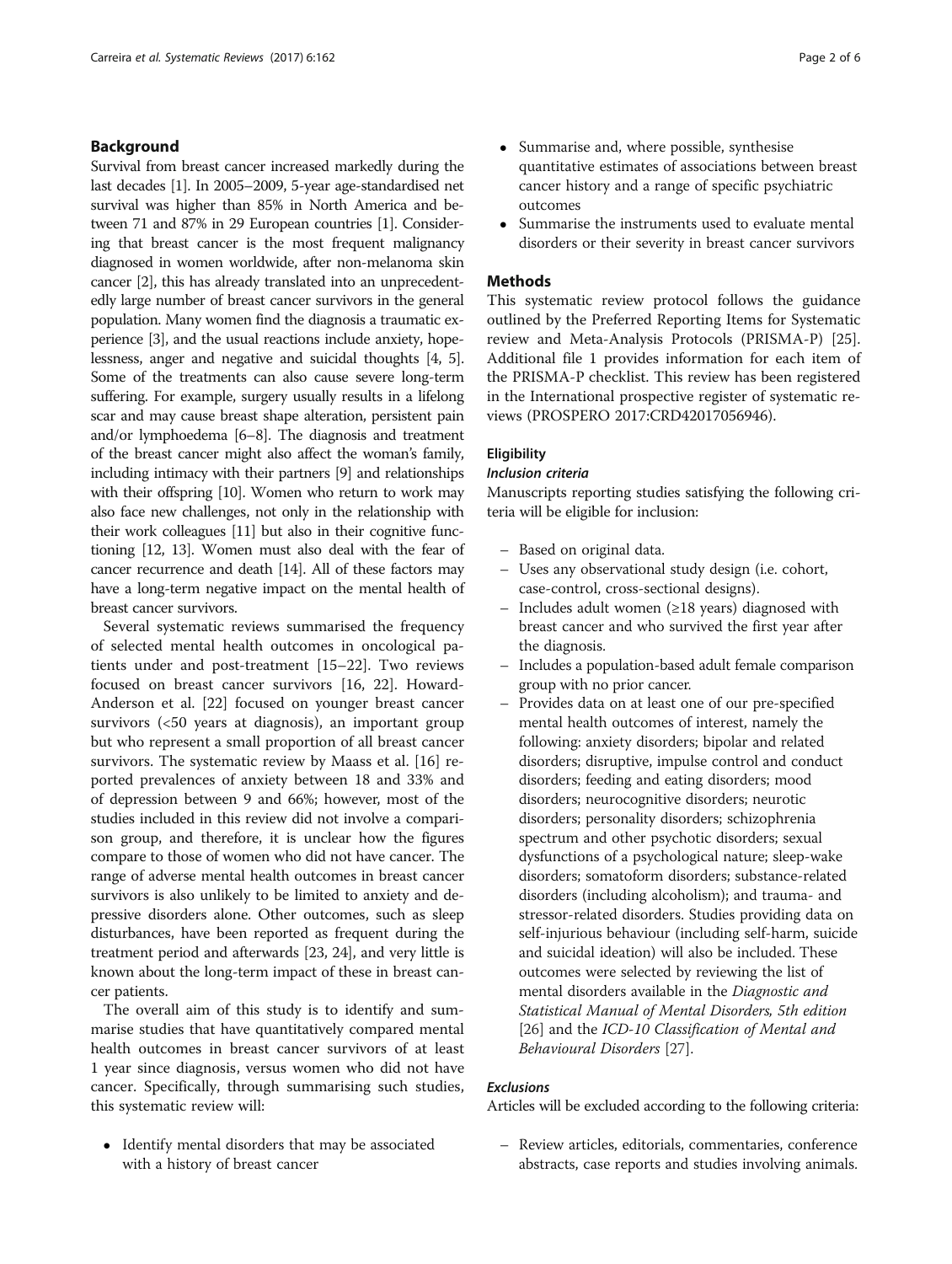## <span id="page-1-0"></span>Background

Survival from breast cancer increased markedly during the last decades [[1](#page-4-0)]. In 2005–2009, 5-year age-standardised net survival was higher than 85% in North America and between 71 and 87% in 29 European countries [\[1\]](#page-4-0). Considering that breast cancer is the most frequent malignancy diagnosed in women worldwide, after non-melanoma skin cancer [\[2](#page-4-0)], this has already translated into an unprecedentedly large number of breast cancer survivors in the general population. Many women find the diagnosis a traumatic experience [[3](#page-4-0)], and the usual reactions include anxiety, hopelessness, anger and negative and suicidal thoughts [[4](#page-4-0), [5](#page-4-0)]. Some of the treatments can also cause severe long-term suffering. For example, surgery usually results in a lifelong scar and may cause breast shape alteration, persistent pain and/or lymphoedema [\[6](#page-4-0)–[8\]](#page-4-0). The diagnosis and treatment of the breast cancer might also affect the woman's family, including intimacy with their partners [[9](#page-5-0)] and relationships with their offspring [\[10\]](#page-5-0). Women who return to work may also face new challenges, not only in the relationship with their work colleagues [[11](#page-5-0)] but also in their cognitive functioning [[12, 13\]](#page-5-0). Women must also deal with the fear of cancer recurrence and death [\[14](#page-5-0)]. All of these factors may have a long-term negative impact on the mental health of breast cancer survivors.

Several systematic reviews summarised the frequency of selected mental health outcomes in oncological patients under and post-treatment [\[15](#page-5-0)–[22\]](#page-5-0). Two reviews focused on breast cancer survivors [\[16](#page-5-0), [22\]](#page-5-0). Howard-Anderson et al. [[22](#page-5-0)] focused on younger breast cancer survivors (<50 years at diagnosis), an important group but who represent a small proportion of all breast cancer survivors. The systematic review by Maass et al. [[16](#page-5-0)] reported prevalences of anxiety between 18 and 33% and of depression between 9 and 66%; however, most of the studies included in this review did not involve a comparison group, and therefore, it is unclear how the figures compare to those of women who did not have cancer. The range of adverse mental health outcomes in breast cancer survivors is also unlikely to be limited to anxiety and depressive disorders alone. Other outcomes, such as sleep disturbances, have been reported as frequent during the treatment period and afterwards [\[23, 24\]](#page-5-0), and very little is known about the long-term impact of these in breast cancer patients.

The overall aim of this study is to identify and summarise studies that have quantitatively compared mental health outcomes in breast cancer survivors of at least 1 year since diagnosis, versus women who did not have cancer. Specifically, through summarising such studies, this systematic review will:

 Identify mental disorders that may be associated with a history of breast cancer

- Summarise and, where possible, synthesise quantitative estimates of associations between breast cancer history and a range of specific psychiatric outcomes
- Summarise the instruments used to evaluate mental disorders or their severity in breast cancer survivors

## **Methods**

This systematic review protocol follows the guidance outlined by the Preferred Reporting Items for Systematic review and Meta-Analysis Protocols (PRISMA-P) [\[25](#page-5-0)]. Additional file [1](#page-4-0) provides information for each item of the PRISMA-P checklist. This review has been registered in the International prospective register of systematic reviews (PROSPERO 2017:CRD42017056946).

## Eligibility

## Inclusion criteria

Manuscripts reporting studies satisfying the following criteria will be eligible for inclusion:

- Based on original data.
- Uses any observational study design (i.e. cohort, case-control, cross-sectional designs).
- Includes adult women (≥18 years) diagnosed with breast cancer and who survived the first year after the diagnosis.
- Includes a population-based adult female comparison group with no prior cancer.
- Provides data on at least one of our pre-specified mental health outcomes of interest, namely the following: anxiety disorders; bipolar and related disorders; disruptive, impulse control and conduct disorders; feeding and eating disorders; mood disorders; neurocognitive disorders; neurotic disorders; personality disorders; schizophrenia spectrum and other psychotic disorders; sexual dysfunctions of a psychological nature; sleep-wake disorders; somatoform disorders; substance-related disorders (including alcoholism); and trauma- and stressor-related disorders. Studies providing data on self-injurious behaviour (including self-harm, suicide and suicidal ideation) will also be included. These outcomes were selected by reviewing the list of mental disorders available in the Diagnostic and Statistical Manual of Mental Disorders, 5th edition [[26](#page-5-0)] and the ICD-10 Classification of Mental and Behavioural Disorders [\[27\]](#page-5-0).

## **Exclusions**

Articles will be excluded according to the following criteria:

– Review articles, editorials, commentaries, conference abstracts, case reports and studies involving animals.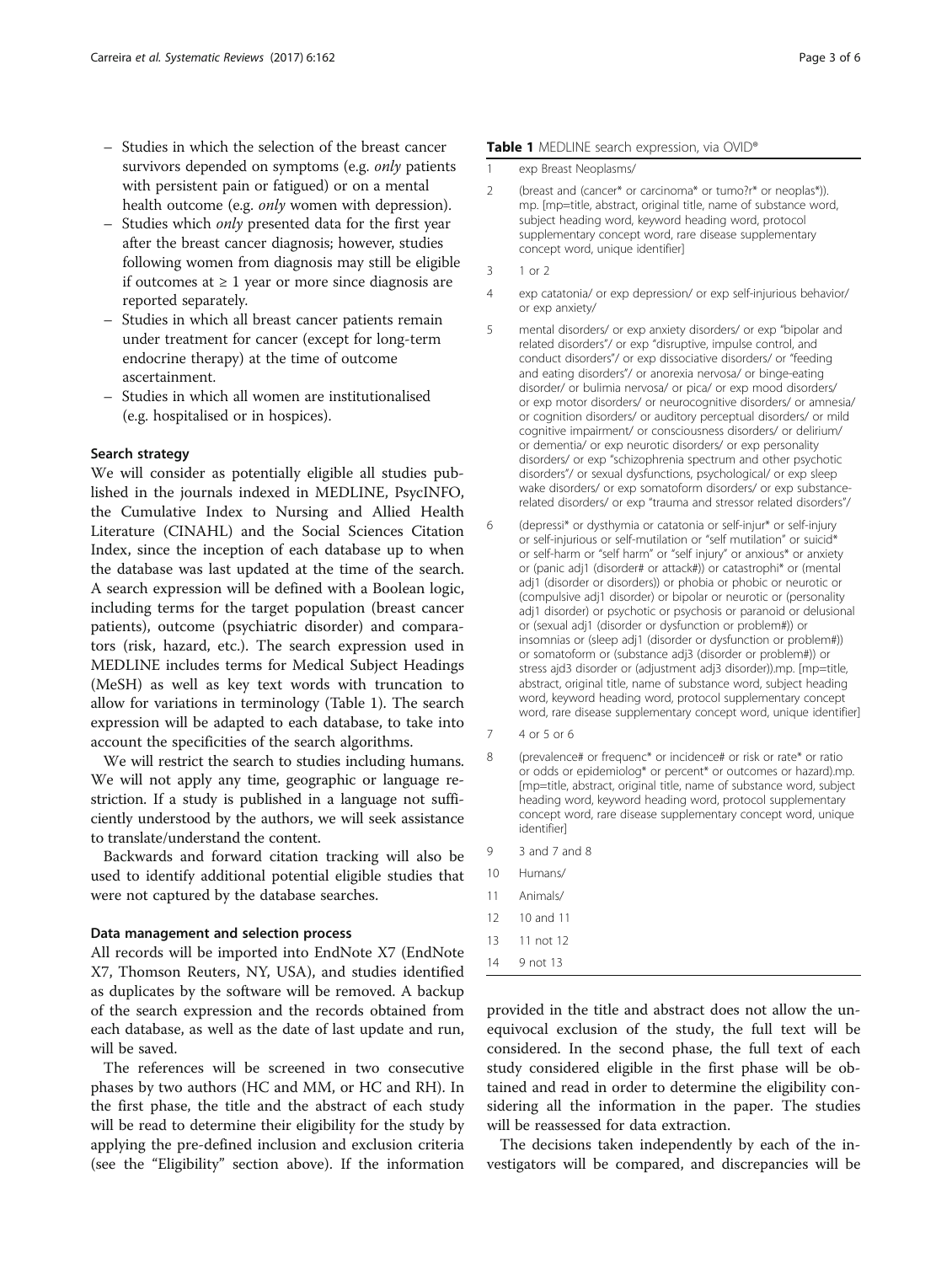- Studies in which the selection of the breast cancer survivors depended on symptoms (e.g. only patients with persistent pain or fatigued) or on a mental health outcome (e.g. *only* women with depression).
- Studies which only presented data for the first year after the breast cancer diagnosis; however, studies following women from diagnosis may still be eligible if outcomes at ≥ 1 year or more since diagnosis are reported separately.
- Studies in which all breast cancer patients remain under treatment for cancer (except for long-term endocrine therapy) at the time of outcome ascertainment.
- Studies in which all women are institutionalised (e.g. hospitalised or in hospices).

#### Search strategy

We will consider as potentially eligible all studies published in the journals indexed in MEDLINE, PsycINFO, the Cumulative Index to Nursing and Allied Health Literature (CINAHL) and the Social Sciences Citation Index, since the inception of each database up to when the database was last updated at the time of the search. A search expression will be defined with a Boolean logic, including terms for the target population (breast cancer patients), outcome (psychiatric disorder) and comparators (risk, hazard, etc.). The search expression used in MEDLINE includes terms for Medical Subject Headings (MeSH) as well as key text words with truncation to allow for variations in terminology (Table 1). The search expression will be adapted to each database, to take into account the specificities of the search algorithms.

We will restrict the search to studies including humans. We will not apply any time, geographic or language restriction. If a study is published in a language not sufficiently understood by the authors, we will seek assistance to translate/understand the content.

Backwards and forward citation tracking will also be used to identify additional potential eligible studies that were not captured by the database searches.

### Data management and selection process

All records will be imported into EndNote X7 (EndNote X7, Thomson Reuters, NY, USA), and studies identified as duplicates by the software will be removed. A backup of the search expression and the records obtained from each database, as well as the date of last update and run, will be saved.

The references will be screened in two consecutive phases by two authors (HC and MM, or HC and RH). In the first phase, the title and the abstract of each study will be read to determine their eligibility for the study by applying the pre-defined inclusion and exclusion criteria (see the "[Eligibility](#page-1-0)" section above). If the information

#### Table 1 MEDLINE search expression, via OVID®

exp Breast Neoplasms/

- 2 (breast and (cancer\* or carcinoma\* or tumo?r\* or neoplas\*)). mp. [mp=title, abstract, original title, name of substance word, subject heading word, keyword heading word, protocol supplementary concept word, rare disease supplementary concept word, unique identifier]
- 3 1 or 2
- 4 exp catatonia/ or exp depression/ or exp self-injurious behavior/ or exp anxiety/
- 5 mental disorders/ or exp anxiety disorders/ or exp "bipolar and related disorders"/ or exp "disruptive, impulse control, and conduct disorders"/ or exp dissociative disorders/ or "feeding and eating disorders"/ or anorexia nervosa/ or binge-eating disorder/ or bulimia nervosa/ or pica/ or exp mood disorders/ or exp motor disorders/ or neurocognitive disorders/ or amnesia/ or cognition disorders/ or auditory perceptual disorders/ or mild cognitive impairment/ or consciousness disorders/ or delirium/ or dementia/ or exp neurotic disorders/ or exp personality disorders/ or exp "schizophrenia spectrum and other psychotic disorders"/ or sexual dysfunctions, psychological/ or exp sleep wake disorders/ or exp somatoform disorders/ or exp substancerelated disorders/ or exp "trauma and stressor related disorders"/
- 6 (depressi\* or dysthymia or catatonia or self-injur\* or self-injury or self-injurious or self-mutilation or "self mutilation" or suicid\* or self-harm or "self harm" or "self injury" or anxious\* or anxiety or (panic adj1 (disorder# or attack#)) or catastrophi\* or (mental adj1 (disorder or disorders)) or phobia or phobic or neurotic or (compulsive adj1 disorder) or bipolar or neurotic or (personality adj1 disorder) or psychotic or psychosis or paranoid or delusional or (sexual adj1 (disorder or dysfunction or problem#)) or insomnias or (sleep adj1 (disorder or dysfunction or problem#)) or somatoform or (substance adj3 (disorder or problem#)) or stress ajd3 disorder or (adjustment adj3 disorder)).mp. [mp=title, abstract, original title, name of substance word, subject heading word, keyword heading word, protocol supplementary concept word, rare disease supplementary concept word, unique identifier]
- 7 4 or 5 or 6
- 8 (prevalence# or frequenc\* or incidence# or risk or rate\* or ratio or odds or epidemiolog\* or percent\* or outcomes or hazard).mp. [mp=title, abstract, original title, name of substance word, subject heading word, keyword heading word, protocol supplementary concept word, rare disease supplementary concept word, unique identifier]
- 9 3 and 7 and 8
- 10 Humans/
- 11 Animals/ 12 10 and 11
- 13 11 not 12
- 14 9 not 13

provided in the title and abstract does not allow the unequivocal exclusion of the study, the full text will be considered. In the second phase, the full text of each study considered eligible in the first phase will be obtained and read in order to determine the eligibility considering all the information in the paper. The studies will be reassessed for data extraction.

The decisions taken independently by each of the investigators will be compared, and discrepancies will be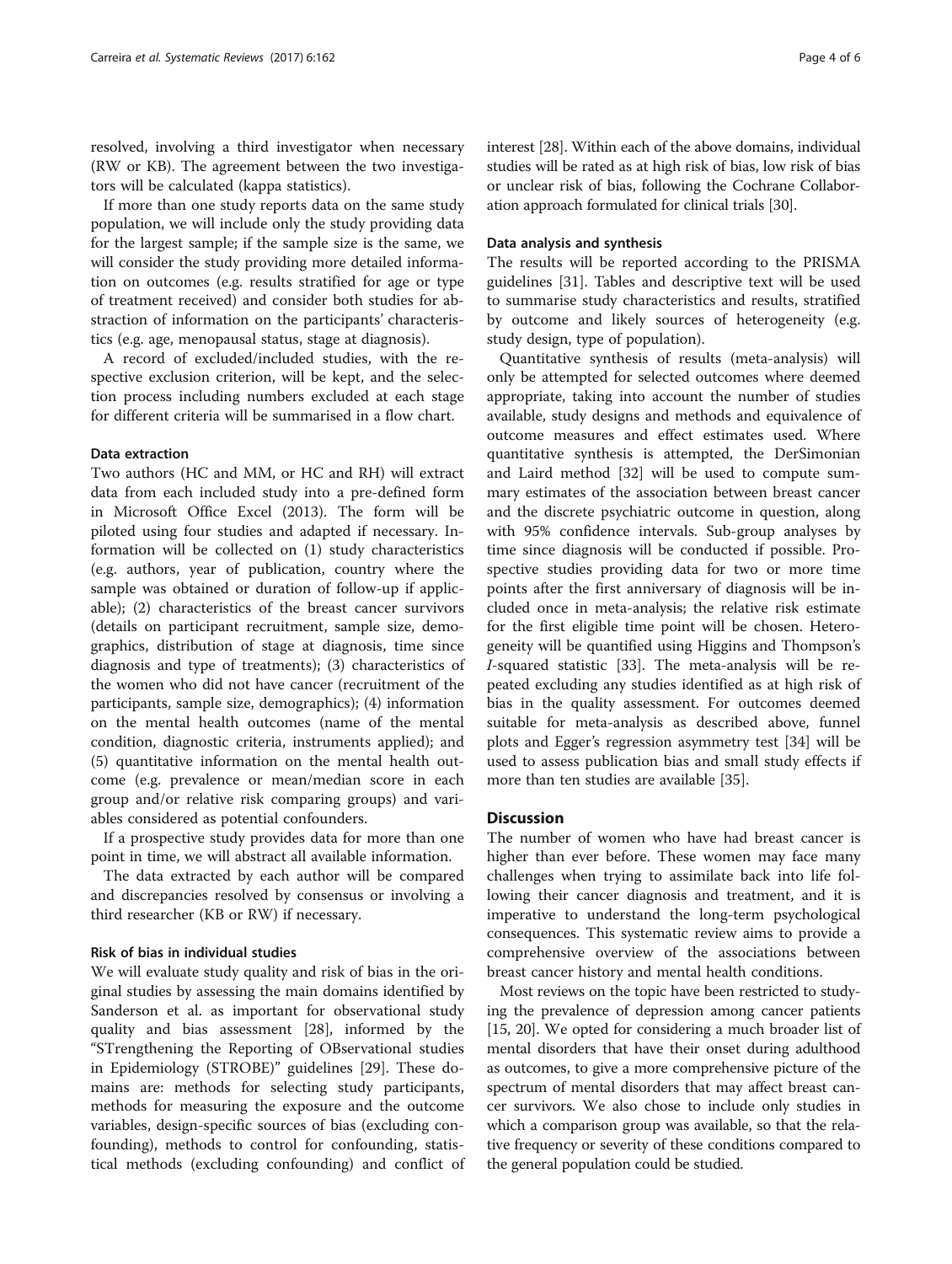resolved, involving a third investigator when necessary (RW or KB). The agreement between the two investigators will be calculated (kappa statistics).

If more than one study reports data on the same study population, we will include only the study providing data for the largest sample; if the sample size is the same, we will consider the study providing more detailed information on outcomes (e.g. results stratified for age or type of treatment received) and consider both studies for abstraction of information on the participants' characteristics (e.g. age, menopausal status, stage at diagnosis).

A record of excluded/included studies, with the respective exclusion criterion, will be kept, and the selection process including numbers excluded at each stage for different criteria will be summarised in a flow chart.

## Data extraction

Two authors (HC and MM, or HC and RH) will extract data from each included study into a pre-defined form in Microsoft Office Excel (2013). The form will be piloted using four studies and adapted if necessary. Information will be collected on (1) study characteristics (e.g. authors, year of publication, country where the sample was obtained or duration of follow-up if applicable); (2) characteristics of the breast cancer survivors (details on participant recruitment, sample size, demographics, distribution of stage at diagnosis, time since diagnosis and type of treatments); (3) characteristics of the women who did not have cancer (recruitment of the participants, sample size, demographics); (4) information on the mental health outcomes (name of the mental condition, diagnostic criteria, instruments applied); and (5) quantitative information on the mental health outcome (e.g. prevalence or mean/median score in each group and/or relative risk comparing groups) and variables considered as potential confounders.

If a prospective study provides data for more than one point in time, we will abstract all available information.

The data extracted by each author will be compared and discrepancies resolved by consensus or involving a third researcher (KB or RW) if necessary.

### Risk of bias in individual studies

We will evaluate study quality and risk of bias in the original studies by assessing the main domains identified by Sanderson et al. as important for observational study quality and bias assessment [\[28](#page-5-0)], informed by the "STrengthening the Reporting of OBservational studies in Epidemiology (STROBE)" guidelines [\[29](#page-5-0)]. These domains are: methods for selecting study participants, methods for measuring the exposure and the outcome variables, design-specific sources of bias (excluding confounding), methods to control for confounding, statistical methods (excluding confounding) and conflict of interest [\[28\]](#page-5-0). Within each of the above domains, individual studies will be rated as at high risk of bias, low risk of bias or unclear risk of bias, following the Cochrane Collaboration approach formulated for clinical trials [\[30\]](#page-5-0).

#### Data analysis and synthesis

The results will be reported according to the PRISMA guidelines [[31\]](#page-5-0). Tables and descriptive text will be used to summarise study characteristics and results, stratified by outcome and likely sources of heterogeneity (e.g. study design, type of population).

Quantitative synthesis of results (meta-analysis) will only be attempted for selected outcomes where deemed appropriate, taking into account the number of studies available, study designs and methods and equivalence of outcome measures and effect estimates used. Where quantitative synthesis is attempted, the DerSimonian and Laird method [[32\]](#page-5-0) will be used to compute summary estimates of the association between breast cancer and the discrete psychiatric outcome in question, along with 95% confidence intervals. Sub-group analyses by time since diagnosis will be conducted if possible. Prospective studies providing data for two or more time points after the first anniversary of diagnosis will be included once in meta-analysis; the relative risk estimate for the first eligible time point will be chosen. Heterogeneity will be quantified using Higgins and Thompson's I-squared statistic [[33\]](#page-5-0). The meta-analysis will be repeated excluding any studies identified as at high risk of bias in the quality assessment. For outcomes deemed suitable for meta-analysis as described above, funnel plots and Egger's regression asymmetry test [\[34\]](#page-5-0) will be used to assess publication bias and small study effects if more than ten studies are available [[35](#page-5-0)].

## **Discussion**

The number of women who have had breast cancer is higher than ever before. These women may face many challenges when trying to assimilate back into life following their cancer diagnosis and treatment, and it is imperative to understand the long-term psychological consequences. This systematic review aims to provide a comprehensive overview of the associations between breast cancer history and mental health conditions.

Most reviews on the topic have been restricted to studying the prevalence of depression among cancer patients [[15](#page-5-0), [20](#page-5-0)]. We opted for considering a much broader list of mental disorders that have their onset during adulthood as outcomes, to give a more comprehensive picture of the spectrum of mental disorders that may affect breast cancer survivors. We also chose to include only studies in which a comparison group was available, so that the relative frequency or severity of these conditions compared to the general population could be studied.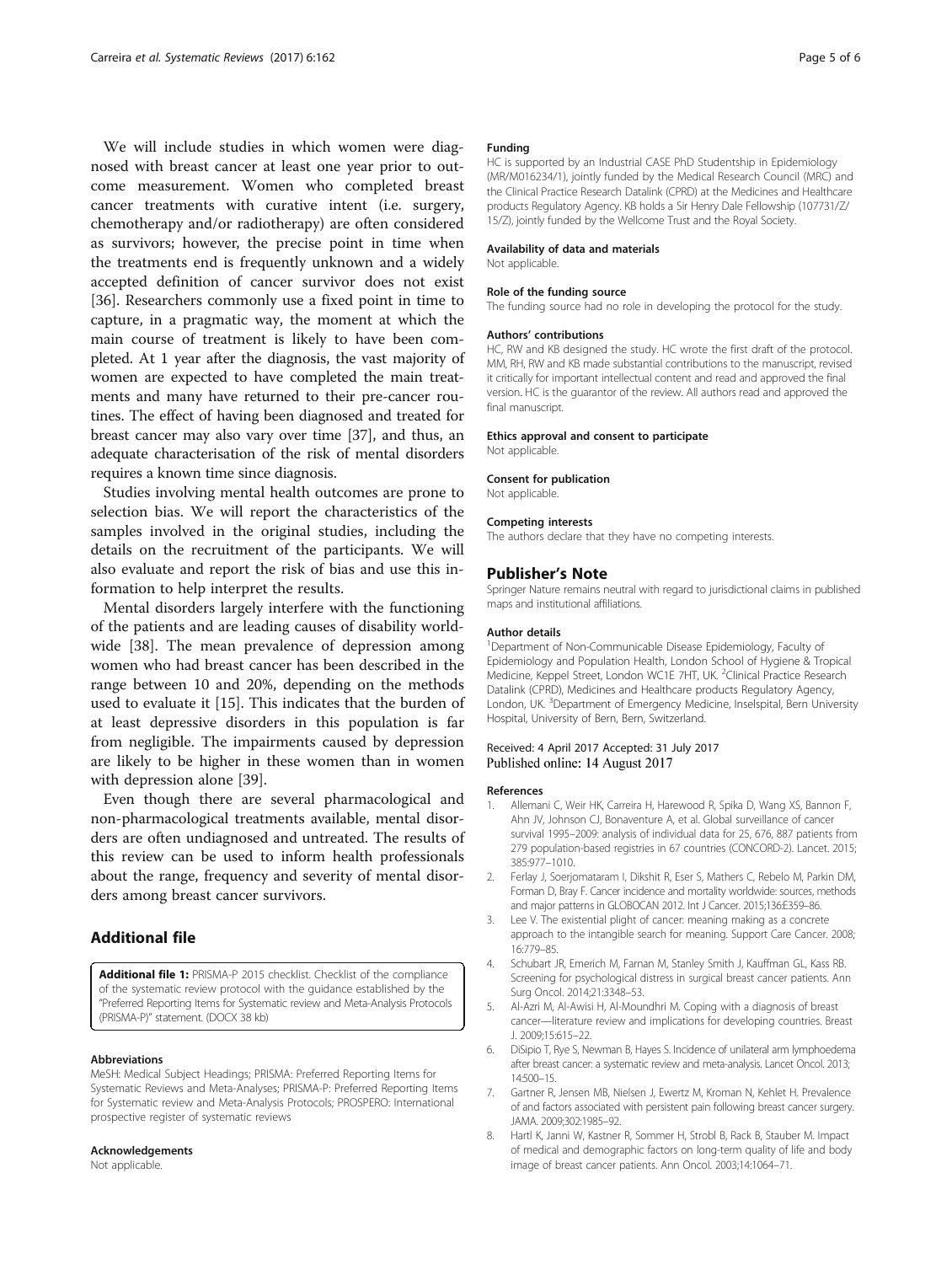<span id="page-4-0"></span>We will include studies in which women were diagnosed with breast cancer at least one year prior to outcome measurement. Women who completed breast cancer treatments with curative intent (i.e. surgery, chemotherapy and/or radiotherapy) are often considered as survivors; however, the precise point in time when the treatments end is frequently unknown and a widely accepted definition of cancer survivor does not exist [[36\]](#page-5-0). Researchers commonly use a fixed point in time to capture, in a pragmatic way, the moment at which the main course of treatment is likely to have been completed. At 1 year after the diagnosis, the vast majority of women are expected to have completed the main treatments and many have returned to their pre-cancer routines. The effect of having been diagnosed and treated for breast cancer may also vary over time [\[37](#page-5-0)], and thus, an adequate characterisation of the risk of mental disorders requires a known time since diagnosis.

Studies involving mental health outcomes are prone to selection bias. We will report the characteristics of the samples involved in the original studies, including the details on the recruitment of the participants. We will also evaluate and report the risk of bias and use this information to help interpret the results.

Mental disorders largely interfere with the functioning of the patients and are leading causes of disability worldwide [[38\]](#page-5-0). The mean prevalence of depression among women who had breast cancer has been described in the range between 10 and 20%, depending on the methods used to evaluate it [[15](#page-5-0)]. This indicates that the burden of at least depressive disorders in this population is far from negligible. The impairments caused by depression are likely to be higher in these women than in women with depression alone [\[39\]](#page-5-0).

Even though there are several pharmacological and non-pharmacological treatments available, mental disorders are often undiagnosed and untreated. The results of this review can be used to inform health professionals about the range, frequency and severity of mental disorders among breast cancer survivors.

### Additional file

[Additional file 1:](dx.doi.org/10.1186/s13643-017-0551-2) PRISMA-P 2015 checklist. Checklist of the compliance of the systematic review protocol with the guidance established by the "Preferred Reporting Items for Systematic review and Meta-Analysis Protocols (PRISMA-P)" statement. (DOCX 38 kb)

#### Abbreviations

MeSH: Medical Subject Headings; PRISMA: Preferred Reporting Items for Systematic Reviews and Meta-Analyses; PRISMA-P: Preferred Reporting Items for Systematic review and Meta-Analysis Protocols; PROSPERO: International prospective register of systematic reviews

#### Acknowledgements

Not applicable.

#### Funding

HC is supported by an Industrial CASE PhD Studentship in Epidemiology (MR/M016234/1), jointly funded by the Medical Research Council (MRC) and the Clinical Practice Research Datalink (CPRD) at the Medicines and Healthcare products Regulatory Agency. KB holds a Sir Henry Dale Fellowship (107731/Z/ 15/Z), jointly funded by the Wellcome Trust and the Royal Society.

#### Availability of data and materials

Not applicable.

#### Role of the funding source

The funding source had no role in developing the protocol for the study.

#### Authors' contributions

HC, RW and KB designed the study. HC wrote the first draft of the protocol. MM, RH, RW and KB made substantial contributions to the manuscript, revised it critically for important intellectual content and read and approved the final version. HC is the guarantor of the review. All authors read and approved the final manuscript.

#### Ethics approval and consent to participate

Not applicable.

## Consent for publication

Not applicable.

#### Competing interests

The authors declare that they have no competing interests.

#### Publisher's Note

Springer Nature remains neutral with regard to jurisdictional claims in published maps and institutional affiliations.

#### Author details

<sup>1</sup>Department of Non-Communicable Disease Epidemiology, Faculty of Epidemiology and Population Health, London School of Hygiene & Tropical Medicine, Keppel Street, London WC1E 7HT, UK. <sup>2</sup>Clinical Practice Research Datalink (CPRD), Medicines and Healthcare products Regulatory Agency, London, UK. <sup>3</sup>Department of Emergency Medicine, Inselspital, Bern University Hospital, University of Bern, Bern, Switzerland.

#### Received: 4 April 2017 Accepted: 31 July 2017 Published online: 14 August 2017

#### References

- 1. Allemani C, Weir HK, Carreira H, Harewood R, Spika D, Wang XS, Bannon F, Ahn JV, Johnson CJ, Bonaventure A, et al. Global surveillance of cancer survival 1995–2009: analysis of individual data for 25, 676, 887 patients from 279 population-based registries in 67 countries (CONCORD-2). Lancet. 2015; 385:977–1010.
- 2. Ferlay J, Soerjomataram I, Dikshit R, Eser S, Mathers C, Rebelo M, Parkin DM, Forman D, Bray F. Cancer incidence and mortality worldwide: sources, methods and major patterns in GLOBOCAN 2012. Int J Cancer. 2015;136:E359–86.
- 3. Lee V. The existential plight of cancer: meaning making as a concrete approach to the intangible search for meaning. Support Care Cancer. 2008; 16:779–85.
- 4. Schubart JR, Emerich M, Farnan M, Stanley Smith J, Kauffman GL, Kass RB. Screening for psychological distress in surgical breast cancer patients. Ann Surg Oncol. 2014;21:3348–53.
- 5. Al-Azri M, Al-Awisi H, Al-Moundhri M. Coping with a diagnosis of breast cancer—literature review and implications for developing countries. Breast J. 2009;15:615–22.
- 6. DiSipio T, Rye S, Newman B, Hayes S. Incidence of unilateral arm lymphoedema after breast cancer: a systematic review and meta-analysis. Lancet Oncol. 2013; 14:500–15.
- 7. Gartner R, Jensen MB, Nielsen J, Ewertz M, Kroman N, Kehlet H. Prevalence of and factors associated with persistent pain following breast cancer surgery. JAMA. 2009;302:1985–92.
- 8. Hartl K, Janni W, Kastner R, Sommer H, Strobl B, Rack B, Stauber M. Impact of medical and demographic factors on long-term quality of life and body image of breast cancer patients. Ann Oncol. 2003;14:1064–71.